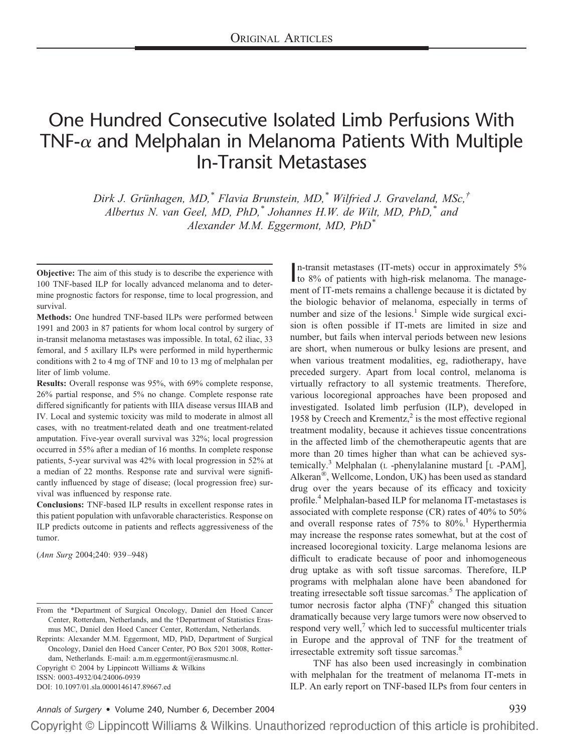# One Hundred Consecutive Isolated Limb Perfusions With TNF- $\alpha$  and Melphalan in Melanoma Patients With Multiple In-Transit Metastases

*Dirk J. Gru¨nhagen, MD,\* Flavia Brunstein, MD,\* Wilfried J. Graveland, MSc,† Albertus N. van Geel, MD, PhD,\* Johannes H.W. de Wilt, MD, PhD,\* and Alexander M.M. Eggermont, MD, PhD\**

**Objective:** The aim of this study is to describe the experience with 100 TNF-based ILP for locally advanced melanoma and to determine prognostic factors for response, time to local progression, and survival.

**Methods:** One hundred TNF-based ILPs were performed between 1991 and 2003 in 87 patients for whom local control by surgery of in-transit melanoma metastases was impossible. In total, 62 iliac, 33 femoral, and 5 axillary ILPs were performed in mild hyperthermic conditions with 2 to 4 mg of TNF and 10 to 13 mg of melphalan per liter of limb volume.

**Results:** Overall response was 95%, with 69% complete response, 26% partial response, and 5% no change. Complete response rate differed significantly for patients with IIIA disease versus IIIAB and IV. Local and systemic toxicity was mild to moderate in almost all cases, with no treatment-related death and one treatment-related amputation. Five-year overall survival was 32%; local progression occurred in 55% after a median of 16 months. In complete response patients, 5-year survival was 42% with local progression in 52% at a median of 22 months. Response rate and survival were significantly influenced by stage of disease; (local progression free) survival was influenced by response rate.

**Conclusions:** TNF-based ILP results in excellent response rates in this patient population with unfavorable characteristics. Response on ILP predicts outcome in patients and reflects aggressiveness of the tumor.

(*Ann Surg* 2004;240: 939 –948)

Reprints: Alexander M.M. Eggermont, MD, PhD, Department of Surgical Oncology, Daniel den Hoed Cancer Center, PO Box 5201 3008, Rotterdam, Netherlands. E-mail: a.m.m.eggermont@erasmusmc.nl.

Copyright © 2004 by Lippincott Williams & Wilkins

ISSN: 0003-4932/04/24006-0939

DOI: 10.1097/01.sla.0000146147.89667.ed

In-transit metastases (IT-mets) occur in approximately 5%<br>to 8% of patients with high-risk melanoma. The managen-transit metastases (IT-mets) occur in approximately 5% ment of IT-mets remains a challenge because it is dictated by the biologic behavior of melanoma, especially in terms of number and size of the lesions.<sup>1</sup> Simple wide surgical excision is often possible if IT-mets are limited in size and number, but fails when interval periods between new lesions are short, when numerous or bulky lesions are present, and when various treatment modalities, eg, radiotherapy, have preceded surgery. Apart from local control, melanoma is virtually refractory to all systemic treatments. Therefore, various locoregional approaches have been proposed and investigated. Isolated limb perfusion (ILP), developed in 1958 by Creech and Krementz, $2$  is the most effective regional treatment modality, because it achieves tissue concentrations in the affected limb of the chemotherapeutic agents that are more than 20 times higher than what can be achieved systemically.<sup>3</sup> Melphalan ( $L$  -phenylalanine mustard  $[L$  -PAM], Alkeran®, Wellcome, London, UK) has been used as standard drug over the years because of its efficacy and toxicity profile.4 Melphalan-based ILP for melanoma IT-metastases is associated with complete response (CR) rates of 40% to 50% and overall response rates of  $75%$  to  $80\%$ .<sup>1</sup> Hyperthermia may increase the response rates somewhat, but at the cost of increased locoregional toxicity. Large melanoma lesions are difficult to eradicate because of poor and inhomogeneous drug uptake as with soft tissue sarcomas. Therefore, ILP programs with melphalan alone have been abandoned for treating irresectable soft tissue sarcomas.<sup>5</sup> The application of tumor necrosis factor alpha  $(TNF)^6$  changed this situation dramatically because very large tumors were now observed to respond very well, $<sup>7</sup>$  which led to successful multicenter trials</sup> in Europe and the approval of TNF for the treatment of irresectable extremity soft tissue sarcomas.<sup>8</sup>

TNF has also been used increasingly in combination with melphalan for the treatment of melanoma IT-mets in ILP. An early report on TNF-based ILPs from four centers in

*Annals of Surgery* • Volume 240, Number 6, December 2004 939

From the \*Department of Surgical Oncology, Daniel den Hoed Cancer Center, Rotterdam, Netherlands, and the †Department of Statistics Erasmus MC, Daniel den Hoed Cancer Center, Rotterdam, Netherlands.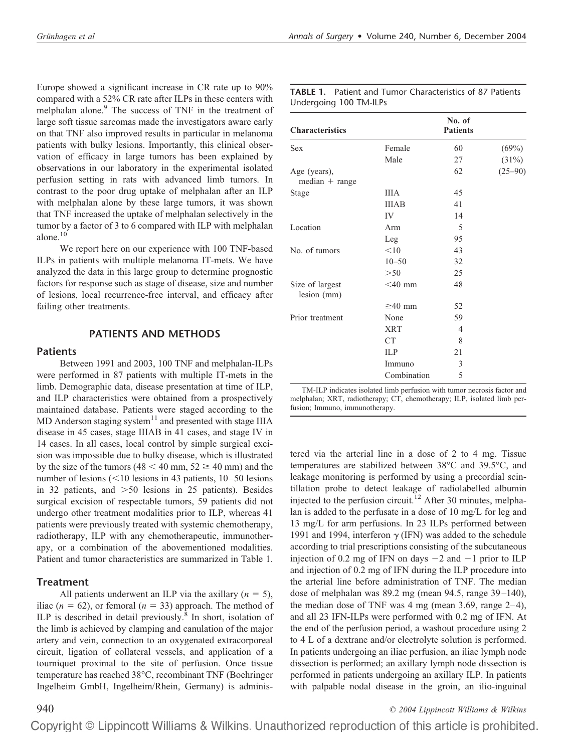Europe showed a significant increase in CR rate up to 90% compared with a 52% CR rate after ILPs in these centers with melphalan alone.<sup>9</sup> The success of TNF in the treatment of large soft tissue sarcomas made the investigators aware early on that TNF also improved results in particular in melanoma patients with bulky lesions. Importantly, this clinical observation of efficacy in large tumors has been explained by observations in our laboratory in the experimental isolated perfusion setting in rats with advanced limb tumors. In contrast to the poor drug uptake of melphalan after an ILP with melphalan alone by these large tumors, it was shown that TNF increased the uptake of melphalan selectively in the tumor by a factor of 3 to 6 compared with ILP with melphalan alone. $10$ 

We report here on our experience with 100 TNF-based ILPs in patients with multiple melanoma IT-mets. We have analyzed the data in this large group to determine prognostic factors for response such as stage of disease, size and number of lesions, local recurrence-free interval, and efficacy after failing other treatments.

#### **PATIENTS AND METHODS**

#### **Patients**

Between 1991 and 2003, 100 TNF and melphalan-ILPs were performed in 87 patients with multiple IT-mets in the limb. Demographic data, disease presentation at time of ILP, and ILP characteristics were obtained from a prospectively maintained database. Patients were staged according to the MD Anderson staging system<sup>11</sup> and presented with stage IIIA disease in 45 cases, stage IIIAB in 41 cases, and stage IV in 14 cases. In all cases, local control by simple surgical excision was impossible due to bulky disease, which is illustrated by the size of the tumors  $(48 < 40$  mm,  $52 \ge 40$  mm) and the number of lesions  $(< 10$  lesions in 43 patients,  $10 - 50$  lesions in 32 patients, and  $>50$  lesions in 25 patients). Besides surgical excision of respectable tumors, 59 patients did not undergo other treatment modalities prior to ILP, whereas 41 patients were previously treated with systemic chemotherapy, radiotherapy, ILP with any chemotherapeutic, immunotherapy, or a combination of the abovementioned modalities. Patient and tumor characteristics are summarized in Table 1.

### **Treatment**

All patients underwent an ILP via the axillary  $(n = 5)$ , iliac ( $n = 62$ ), or femoral ( $n = 33$ ) approach. The method of ILP is described in detail previously.8 In short, isolation of the limb is achieved by clamping and canulation of the major artery and vein, connection to an oxygenated extracorporeal circuit, ligation of collateral vessels, and application of a tourniquet proximal to the site of perfusion. Once tissue temperature has reached 38°C, recombinant TNF (Boehringer Ingelheim GmbH, Ingelheim/Rhein, Germany) is adminis-

| <b>TABLE 1.</b> Patient and Tumor Characteristics of 87 Patients |
|------------------------------------------------------------------|
| Undergoing 100 TM-ILPs                                           |

| <b>Characteristics</b>           |              | No. of<br><b>Patients</b> |             |
|----------------------------------|--------------|---------------------------|-------------|
| <b>Sex</b>                       | Female       | 60                        | (69%)       |
|                                  | Male         | 27                        | (31%)       |
| Age (years),<br>$median + range$ |              | 62                        | $(25 - 90)$ |
| Stage                            | <b>IIIA</b>  | 45                        |             |
|                                  | <b>IIIAB</b> | 41                        |             |
|                                  | IV           | 14                        |             |
| Location                         | Arm          | 5                         |             |
|                                  | Leg          | 95                        |             |
| No. of tumors                    | < 10         | 43                        |             |
|                                  | $10 - 50$    | 32                        |             |
|                                  | >50          | 25                        |             |
| Size of largest<br>lesion (mm)   | $<$ 40 mm    | 48                        |             |
|                                  | $\geq 40$ mm | 52                        |             |
| Prior treatment                  | None         | 59                        |             |
|                                  | <b>XRT</b>   | $\overline{4}$            |             |
|                                  | CT           | 8                         |             |
|                                  | <b>ILP</b>   | 21                        |             |
|                                  | Immuno       | 3                         |             |
|                                  | Combination  | 5                         |             |

TM-ILP indicates isolated limb perfusion with tumor necrosis factor and melphalan; XRT, radiotherapy; CT, chemotherapy; ILP, isolated limb perfusion; Immuno, immunotherapy.

tered via the arterial line in a dose of 2 to 4 mg. Tissue temperatures are stabilized between 38°C and 39.5°C, and leakage monitoring is performed by using a precordial scintillation probe to detect leakage of radiolabelled albumin injected to the perfusion circuit.<sup>12</sup> After 30 minutes, melphalan is added to the perfusate in a dose of 10 mg/L for leg and 13 mg/L for arm perfusions. In 23 ILPs performed between 1991 and 1994, interferon  $\gamma$  (IFN) was added to the schedule according to trial prescriptions consisting of the subcutaneous injection of 0.2 mg of IFN on days  $-2$  and  $-1$  prior to ILP and injection of 0.2 mg of IFN during the ILP procedure into the arterial line before administration of TNF. The median dose of melphalan was  $89.2$  mg (mean  $94.5$ , range  $39-140$ ), the median dose of TNF was  $4 \text{ mg}$  (mean 3.69, range 2–4), and all 23 IFN-ILPs were performed with 0.2 mg of IFN. At the end of the perfusion period, a washout procedure using 2 to 4 L of a dextrane and/or electrolyte solution is performed. In patients undergoing an iliac perfusion, an iliac lymph node dissection is performed; an axillary lymph node dissection is performed in patients undergoing an axillary ILP. In patients with palpable nodal disease in the groin, an ilio-inguinal

940 *© 2004 Lippincott Williams & Wilkins*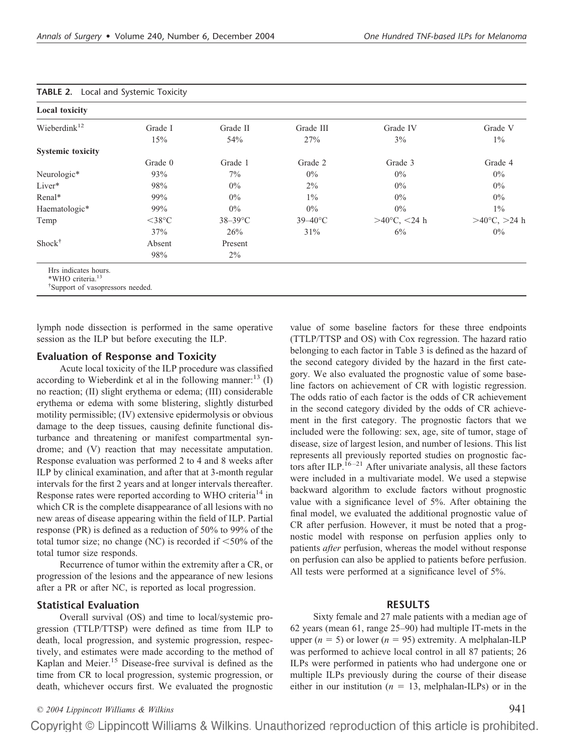| <b>Local toxicity</b>    |                    |            |                     |                             |                          |
|--------------------------|--------------------|------------|---------------------|-----------------------------|--------------------------|
| Wieberdink $12$          | Grade I            | Grade II   | Grade III           | Grade IV                    | Grade V                  |
|                          | 15%                | 54%        | 27%                 | $3\%$                       | $1\%$                    |
| <b>Systemic toxicity</b> |                    |            |                     |                             |                          |
|                          | Grade 0            | Grade 1    | Grade 2             | Grade 3                     | Grade 4                  |
| Neurologic*              | 93%                | $7\%$      | $0\%$               | $0\%$                       | $0\%$                    |
| Liver*                   | 98%                | $0\%$      | $2\%$               | $0\%$                       | $0\%$                    |
| Renal*                   | 99%                | $0\%$      | $1\%$               | $0\%$                       | $0\%$                    |
| Haematologic*            | 99%                | $0\%$      | $0\%$               | $0\%$                       | $1\%$                    |
| Temp                     | $<$ 38 $\degree$ C | $38-39$ °C | $39 - 40^{\circ}$ C | >40 $\rm{^{\circ}C,}$ <24 h | $>40^{\circ}$ C, $>24$ h |
|                          | 37%                | 26%        | 31%                 | $6\%$                       | $0\%$                    |
| Shock <sup>†</sup>       | Absent             | Present    |                     |                             |                          |
|                          | 98%                | $2\%$      |                     |                             |                          |

lymph node dissection is performed in the same operative session as the ILP but before executing the ILP.

# **Evaluation of Response and Toxicity**

Acute local toxicity of the ILP procedure was classified according to Wieberdink et al in the following manner:<sup>13</sup> (I) no reaction; (II) slight erythema or edema; (III) considerable erythema or edema with some blistering, slightly disturbed motility permissible; (IV) extensive epidermolysis or obvious damage to the deep tissues, causing definite functional disturbance and threatening or manifest compartmental syndrome; and (V) reaction that may necessitate amputation. Response evaluation was performed 2 to 4 and 8 weeks after ILP by clinical examination, and after that at 3-month regular intervals for the first 2 years and at longer intervals thereafter. Response rates were reported according to WHO criteria<sup>14</sup> in which CR is the complete disappearance of all lesions with no new areas of disease appearing within the field of ILP. Partial response (PR) is defined as a reduction of 50% to 99% of the total tumor size; no change (NC) is recorded if  $\leq 50\%$  of the total tumor size responds.

Recurrence of tumor within the extremity after a CR, or progression of the lesions and the appearance of new lesions after a PR or after NC, is reported as local progression.

### **Statistical Evaluation**

Overall survival (OS) and time to local/systemic progression (TTLP/TTSP) were defined as time from ILP to death, local progression, and systemic progression, respectively, and estimates were made according to the method of Kaplan and Meier.<sup>15</sup> Disease-free survival is defined as the time from CR to local progression, systemic progression, or death, whichever occurs first. We evaluated the prognostic

value of some baseline factors for these three endpoints (TTLP/TTSP and OS) with Cox regression. The hazard ratio belonging to each factor in Table 3 is defined as the hazard of the second category divided by the hazard in the first category. We also evaluated the prognostic value of some baseline factors on achievement of CR with logistic regression. The odds ratio of each factor is the odds of CR achievement in the second category divided by the odds of CR achievement in the first category. The prognostic factors that we included were the following: sex, age, site of tumor, stage of disease, size of largest lesion, and number of lesions. This list represents all previously reported studies on prognostic factors after ILP.<sup>16-21</sup> After univariate analysis, all these factors were included in a multivariate model. We used a stepwise backward algorithm to exclude factors without prognostic value with a significance level of 5%. After obtaining the final model, we evaluated the additional prognostic value of CR after perfusion. However, it must be noted that a prognostic model with response on perfusion applies only to patients *after* perfusion, whereas the model without response on perfusion can also be applied to patients before perfusion. All tests were performed at a significance level of 5%.

### **RESULTS**

Sixty female and 27 male patients with a median age of 62 years (mean 61, range 25–90) had multiple IT-mets in the upper  $(n = 5)$  or lower  $(n = 95)$  extremity. A melphalan-ILP was performed to achieve local control in all 87 patients; 26 ILPs were performed in patients who had undergone one or multiple ILPs previously during the course of their disease either in our institution  $(n = 13$ , melphalan-ILPs) or in the

# *© 2004 Lippincott Williams & Wilkins* 941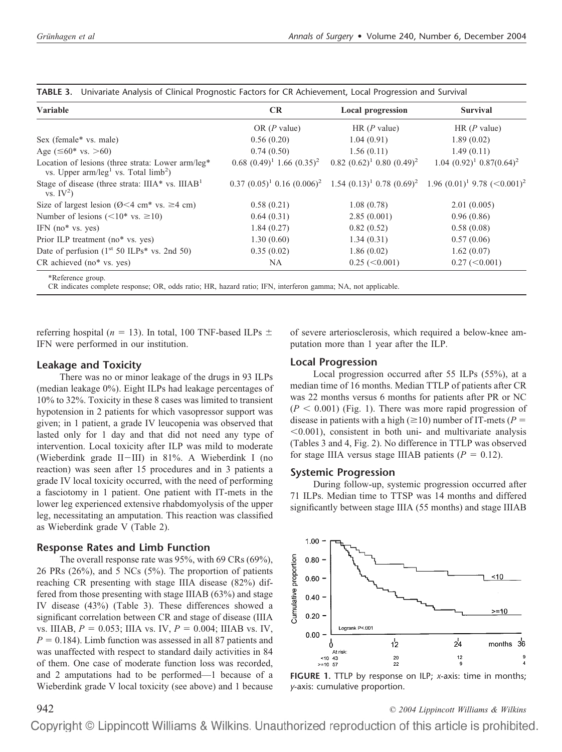| <b>Variable</b>                                                                               | <b>CR</b>                         | <b>Local progression</b>            | <b>Survival</b>                                                                              |
|-----------------------------------------------------------------------------------------------|-----------------------------------|-------------------------------------|----------------------------------------------------------------------------------------------|
|                                                                                               | OR $(P$ value)                    | HR $(P$ value)                      | HR $(P$ value)                                                                               |
| Sex (female* vs. male)                                                                        | 0.56(0.20)                        | 1.04(0.91)                          | 1.89(0.02)                                                                                   |
| Age ( $\leq 60$ <sup>*</sup> vs. >60)                                                         | 0.74(0.50)                        | 1.56(0.11)                          | 1.49(0.11)                                                                                   |
| Location of lesions (three strata: Lower arm/leg*<br>vs. Upper $arm/leg1$ vs. Total $limb2$ ) | $0.68$ $(0.49)^1$ 1.66 $(0.35)^2$ | $0.82$ $(0.62)^1$ $0.80$ $(0.49)^2$ | $1.04~(0.92)^{1}~0.87(0.64)^{2}$                                                             |
| Stage of disease (three strata: $IIIA*$ vs. $IIIAB1$<br>vs. $IV^2$ )                          |                                   |                                     | $0.37 (0.05)^1 0.16 (0.006)^2$ 1.54 $(0.13)^1 0.78 (0.69)^2$ 1.96 $(0.01)^1 9.78 (<0.001)^2$ |
| Size of largest lesion ( $\varnothing$ < 4 cm <sup>*</sup> vs. $\geq$ 4 cm)                   | 0.58(0.21)                        | 1.08(0.78)                          | 2.01(0.005)                                                                                  |
| Number of lesions ( $\leq 10^*$ vs. $\geq 10$ )                                               | 0.64(0.31)                        | 2.85(0.001)                         | 0.96(0.86)                                                                                   |
| IFN $(no^*$ vs. yes)                                                                          | 1.84(0.27)                        | 0.82(0.52)                          | 0.58(0.08)                                                                                   |
| Prior ILP treatment (no* vs. yes)                                                             | 1.30(0.60)                        | 1.34(0.31)                          | 0.57(0.06)                                                                                   |
| Date of perfusion $(1st 50 ILPs* vs. 2nd 50)$                                                 | 0.35(0.02)                        | 1.86(0.02)                          | 1.62(0.07)                                                                                   |
| $CR$ achieved $(no*$ vs. yes)                                                                 | NA.                               | $0.25 \approx 0.001$                | $0.27 \, (\leq 0.001)$                                                                       |

**TABLE 3.** Univariate Analysis of Clinical Prognostic Factors for CR Achievement, Local Progression and Survival

referring hospital ( $n = 13$ ). In total, 100 TNF-based ILPs  $\pm$ IFN were performed in our institution.

#### **Leakage and Toxicity**

There was no or minor leakage of the drugs in 93 ILPs (median leakage 0%). Eight ILPs had leakage percentages of 10% to 32%. Toxicity in these 8 cases was limited to transient hypotension in 2 patients for which vasopressor support was given; in 1 patient, a grade IV leucopenia was observed that lasted only for 1 day and that did not need any type of intervention. Local toxicity after ILP was mild to moderate (Wieberdink grade II-III) in 81%. A Wieberdink I (no reaction) was seen after 15 procedures and in 3 patients a grade IV local toxicity occurred, with the need of performing a fasciotomy in 1 patient. One patient with IT-mets in the lower leg experienced extensive rhabdomyolysis of the upper leg, necessitating an amputation. This reaction was classified as Wieberdink grade V (Table 2).

#### **Response Rates and Limb Function**

The overall response rate was 95%, with 69 CRs (69%), 26 PRs (26%), and 5 NCs (5%). The proportion of patients reaching CR presenting with stage IIIA disease (82%) differed from those presenting with stage IIIAB (63%) and stage IV disease (43%) (Table 3). These differences showed a significant correlation between CR and stage of disease (IIIA vs. IIIAB,  $P = 0.053$ ; IIIA vs. IV,  $P = 0.004$ ; IIIAB vs. IV,  $P = 0.184$ ). Limb function was assessed in all 87 patients and was unaffected with respect to standard daily activities in 84 of them. One case of moderate function loss was recorded, and 2 amputations had to be performed—1 because of a Wieberdink grade V local toxicity (see above) and 1 because

of severe arteriosclerosis, which required a below-knee amputation more than 1 year after the ILP.

#### **Local Progression**

Local progression occurred after 55 ILPs (55%), at a median time of 16 months. Median TTLP of patients after CR was 22 months versus 6 months for patients after PR or NC  $(P < 0.001)$  (Fig. 1). There was more rapid progression of disease in patients with a high ( $\geq$ 10) number of IT-mets ( $P =$  $<$ 0.001), consistent in both uni- and multivariate analysis (Tables 3 and 4, Fig. 2). No difference in TTLP was observed for stage IIIA versus stage IIIAB patients  $(P = 0.12)$ .

#### **Systemic Progression**

During follow-up, systemic progression occurred after 71 ILPs. Median time to TTSP was 14 months and differed significantly between stage IIIA (55 months) and stage IIIAB





942 *© 2004 Lippincott Williams & Wilkins*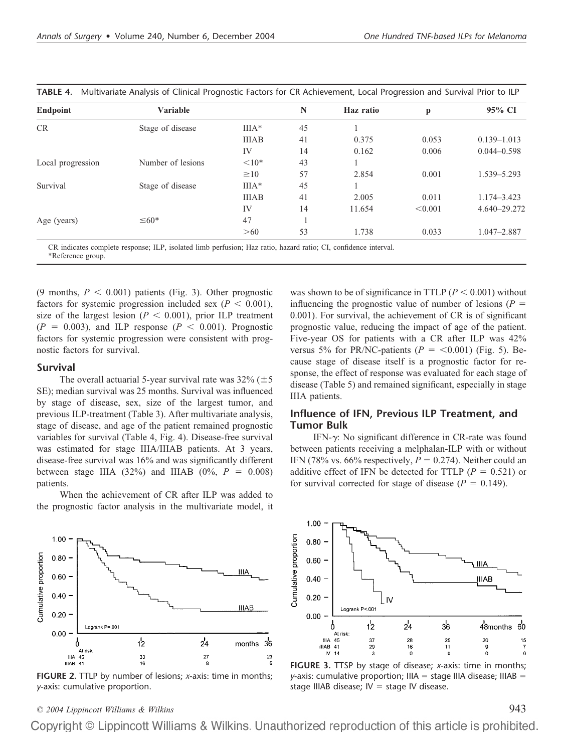| <b>Endpoint</b>   | Variable          |              | N  | Haz ratio | р       | 95% CI          |
|-------------------|-------------------|--------------|----|-----------|---------|-----------------|
| CR                | Stage of disease  | $IIIA*$      | 45 |           |         |                 |
|                   |                   | <b>IIIAB</b> | 41 | 0.375     | 0.053   | $0.139 - 1.013$ |
|                   |                   | IV           | 14 | 0.162     | 0.006   | $0.044 - 0.598$ |
| Local progression | Number of lesions | ${<}10*$     | 43 |           |         |                 |
|                   |                   | $\geq 10$    | 57 | 2.854     | 0.001   | 1.539 - 5.293   |
| Survival          | Stage of disease  | $IIIA*$      | 45 |           |         |                 |
|                   |                   | <b>IIIAB</b> | 41 | 2.005     | 0.011   | 1.174 - 3.423   |
|                   |                   | IV           | 14 | 11.654    | < 0.001 | 4.640-29.272    |
| Age (years)       | $\leq 60*$        | 47           |    |           |         |                 |
|                   |                   | >60          | 53 | 1.738     | 0.033   | $1.047 - 2.887$ |

**TABLE 4.** Multivariate Analysis of Clinical Prognostic Factors for CR Achievement, Local Progression and Survival Prior to ILP

CR indicates complete response; ILP, isolated limb perfusion; Haz ratio, hazard ratio; CI, confidence interval. \*Reference group.

(9 months,  $P < 0.001$ ) patients (Fig. 3). Other prognostic factors for systemic progression included sex  $(P < 0.001)$ , size of the largest lesion  $(P < 0.001)$ , prior ILP treatment  $(P = 0.003)$ , and ILP response  $(P < 0.001)$ . Prognostic factors for systemic progression were consistent with prognostic factors for survival.

#### **Survival**

The overall actuarial 5-year survival rate was  $32\%$  ( $\pm$  5) SE); median survival was 25 months. Survival was influenced by stage of disease, sex, size of the largest tumor, and previous ILP-treatment (Table 3). After multivariate analysis, stage of disease, and age of the patient remained prognostic variables for survival (Table 4, Fig. 4). Disease-free survival was estimated for stage IIIA/IIIAB patients. At 3 years, disease-free survival was 16% and was significantly different between stage IIIA (32%) and IIIAB (0%,  $P = 0.008$ ) patients.

When the achievement of CR after ILP was added to the prognostic factor analysis in the multivariate model, it



**FIGURE 2.** TTLP by number of lesions; *x*-axis: time in months; *y*-axis: cumulative proportion.

was shown to be of significance in TTLP  $(P < 0.001)$  without influencing the prognostic value of number of lesions  $(P =$ 0.001). For survival, the achievement of CR is of significant prognostic value, reducing the impact of age of the patient. Five-year OS for patients with a CR after ILP was 42% versus 5% for PR/NC-patients ( $P = \langle 0.001 \rangle$  (Fig. 5). Because stage of disease itself is a prognostic factor for response, the effect of response was evaluated for each stage of disease (Table 5) and remained significant, especially in stage IIIA patients.

# **Influence of IFN, Previous ILP Treatment, and Tumor Bulk**

IFN- $\gamma$ : No significant difference in CR-rate was found between patients receiving a melphalan-ILP with or without IFN (78% vs. 66% respectively,  $P = 0.274$ ). Neither could an additive effect of IFN be detected for TTLP ( $P = 0.521$ ) or for survival corrected for stage of disease  $(P = 0.149)$ .



**FIGURE 3.** TTSP by stage of disease; *x*-axis: time in months; *y*-axis: cumulative proportion;  $IIIA = stage IIIA$  disease; IIIAB = stage IIIAB disease;  $IV =$  stage IV disease.

# *© 2004 Lippincott Williams & Wilkins* 943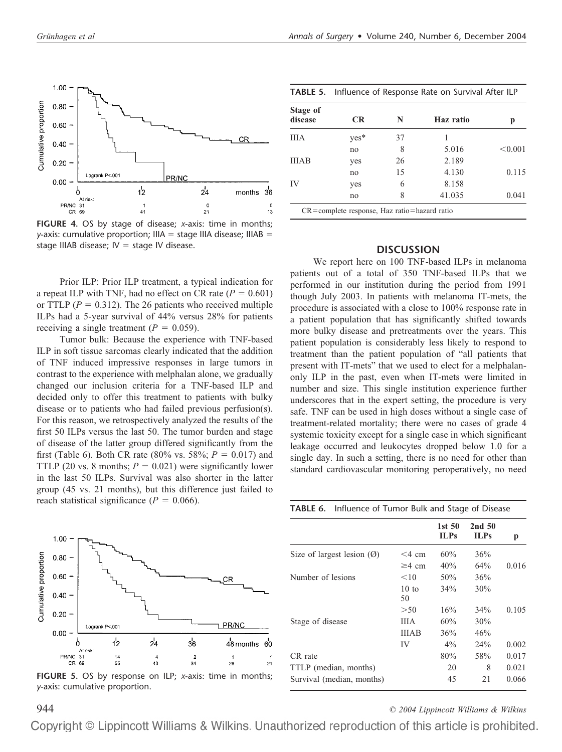

**FIGURE 4.** OS by stage of disease; *x*-axis: time in months; *y*-axis: cumulative proportion; IIIA = stage IIIA disease; IIIAB = stage IIIAB disease;  $IV = stage IV$  disease.

Prior ILP: Prior ILP treatment, a typical indication for a repeat ILP with TNF, had no effect on CR rate  $(P = 0.601)$ or TTLP  $(P = 0.312)$ . The 26 patients who received multiple ILPs had a 5-year survival of 44% versus 28% for patients receiving a single treatment  $(P = 0.059)$ .

Tumor bulk: Because the experience with TNF-based ILP in soft tissue sarcomas clearly indicated that the addition of TNF induced impressive responses in large tumors in contrast to the experience with melphalan alone, we gradually changed our inclusion criteria for a TNF-based ILP and decided only to offer this treatment to patients with bulky disease or to patients who had failed previous perfusion(s). For this reason, we retrospectively analyzed the results of the first 50 ILPs versus the last 50. The tumor burden and stage of disease of the latter group differed significantly from the first (Table 6). Both CR rate (80% vs. 58%;  $P = 0.017$ ) and TTLP (20 vs. 8 months;  $P = 0.021$ ) were significantly lower in the last 50 ILPs. Survival was also shorter in the latter group (45 vs. 21 months), but this difference just failed to reach statistical significance ( $P = 0.066$ ).



**FIGURE 5.** OS by response on ILP; *x*-axis: time in months; *y*-axis: cumulative proportion.

| TABLE 5. Influence of Response Rate on Survival After ILP |    |           |         |  |  |
|-----------------------------------------------------------|----|-----------|---------|--|--|
| <b>CR</b>                                                 | N  | Haz ratio | р       |  |  |
| yes*                                                      | 37 |           |         |  |  |
| no                                                        | 8  | 5.016     | < 0.001 |  |  |
| yes                                                       | 26 | 2.189     |         |  |  |
| no                                                        | 15 | 4.130     | 0.115   |  |  |
| yes                                                       | 6  | 8.158     |         |  |  |
| no                                                        | 8  | 41.035    | 0.041   |  |  |
|                                                           |    |           |         |  |  |

#### **DISCUSSION**

We report here on 100 TNF-based ILPs in melanoma patients out of a total of 350 TNF-based ILPs that we performed in our institution during the period from 1991 though July 2003. In patients with melanoma IT-mets, the procedure is associated with a close to 100% response rate in a patient population that has significantly shifted towards more bulky disease and pretreatments over the years. This patient population is considerably less likely to respond to treatment than the patient population of "all patients that present with IT-mets" that we used to elect for a melphalanonly ILP in the past, even when IT-mets were limited in number and size. This single institution experience further underscores that in the expert setting, the procedure is very safe. TNF can be used in high doses without a single case of treatment-related mortality; there were no cases of grade 4 systemic toxicity except for a single case in which significant leakage occurred and leukocytes dropped below 1.0 for a single day. In such a setting, there is no need for other than standard cardiovascular monitoring peroperatively, no need

**TABLE 6.** Influence of Tumor Bulk and Stage of Disease

|                       | 1st <sub>50</sub><br><b>ILPs</b> | 2nd <sub>50</sub><br>ILPs | p     |
|-----------------------|----------------------------------|---------------------------|-------|
| $<$ 4 cm              | 60%                              | 36%                       |       |
| $\geq$ 4 cm           | 40%                              | 64%                       | 0.016 |
| $<$ 10                | 50%                              | 36%                       |       |
| $10 \text{ to}$<br>50 | 34%                              | 30%                       |       |
| >50                   | 16%                              | 34%                       | 0.105 |
| <b>IIIA</b>           | 60%                              | 30%                       |       |
| <b>IIIAB</b>          | 36%                              | 46%                       |       |
| IV                    | $4\%$                            | 24%                       | 0.002 |
|                       | 80%                              | 58%                       | 0.017 |
|                       | 20                               | 8                         | 0.021 |
|                       | 45                               | 21                        | 0.066 |
|                       |                                  |                           |       |

944 *© 2004 Lippincott Williams & Wilkins*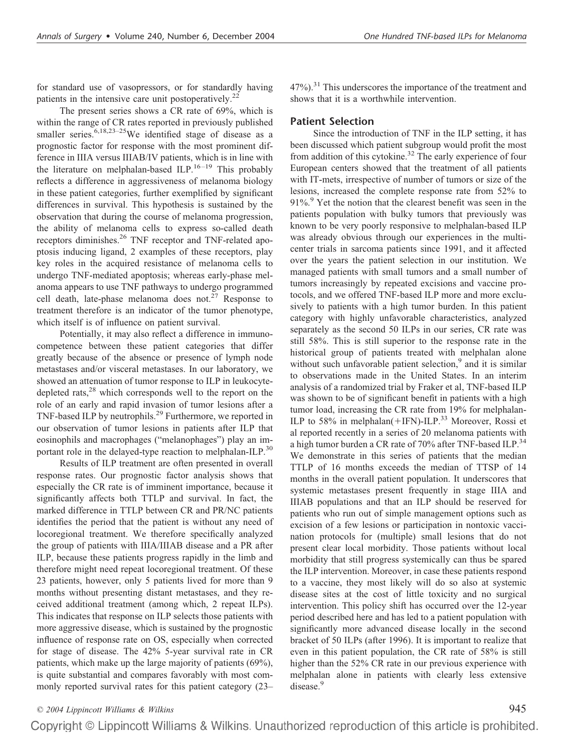for standard use of vasopressors, or for standardly having patients in the intensive care unit postoperatively.<sup>22</sup>

The present series shows a CR rate of 69%, which is within the range of CR rates reported in previously published smaller series. $6,18,23-25$ We identified stage of disease as a prognostic factor for response with the most prominent difference in IIIA versus IIIAB/IV patients, which is in line with the literature on melphalan-based ILP.<sup>16-19</sup> This probably reflects a difference in aggressiveness of melanoma biology in these patient categories, further exemplified by significant differences in survival. This hypothesis is sustained by the observation that during the course of melanoma progression, the ability of melanoma cells to express so-called death receptors diminishes.26 TNF receptor and TNF-related apoptosis inducing ligand, 2 examples of these receptors, play key roles in the acquired resistance of melanoma cells to undergo TNF-mediated apoptosis; whereas early-phase melanoma appears to use TNF pathways to undergo programmed cell death, late-phase melanoma does not.<sup>27</sup> Response to treatment therefore is an indicator of the tumor phenotype, which itself is of influence on patient survival.

Potentially, it may also reflect a difference in immunocompetence between these patient categories that differ greatly because of the absence or presence of lymph node metastases and/or visceral metastases. In our laboratory, we showed an attenuation of tumor response to ILP in leukocytedepleted rats,<sup>28</sup> which corresponds well to the report on the role of an early and rapid invasion of tumor lesions after a TNF-based ILP by neutrophils.<sup>29</sup> Furthermore, we reported in our observation of tumor lesions in patients after ILP that eosinophils and macrophages ("melanophages") play an important role in the delayed-type reaction to melphalan-ILP.<sup>30</sup>

Results of ILP treatment are often presented in overall response rates. Our prognostic factor analysis shows that especially the CR rate is of imminent importance, because it significantly affects both TTLP and survival. In fact, the marked difference in TTLP between CR and PR/NC patients identifies the period that the patient is without any need of locoregional treatment. We therefore specifically analyzed the group of patients with IIIA/IIIAB disease and a PR after ILP, because these patients progress rapidly in the limb and therefore might need repeat locoregional treatment. Of these 23 patients, however, only 5 patients lived for more than 9 months without presenting distant metastases, and they received additional treatment (among which, 2 repeat ILPs). This indicates that response on ILP selects those patients with more aggressive disease, which is sustained by the prognostic influence of response rate on OS, especially when corrected for stage of disease. The 42% 5-year survival rate in CR patients, which make up the large majority of patients (69%), is quite substantial and compares favorably with most commonly reported survival rates for this patient category (23–

 $47\%$ ).<sup>31</sup> This underscores the importance of the treatment and shows that it is a worthwhile intervention.

#### **Patient Selection**

Since the introduction of TNF in the ILP setting, it has been discussed which patient subgroup would profit the most from addition of this cytokine.<sup>32</sup> The early experience of four European centers showed that the treatment of all patients with IT-mets, irrespective of number of tumors or size of the lesions, increased the complete response rate from 52% to  $91\%$ . <sup>9</sup> Yet the notion that the clearest benefit was seen in the patients population with bulky tumors that previously was known to be very poorly responsive to melphalan-based ILP was already obvious through our experiences in the multicenter trials in sarcoma patients since 1991, and it affected over the years the patient selection in our institution. We managed patients with small tumors and a small number of tumors increasingly by repeated excisions and vaccine protocols, and we offered TNF-based ILP more and more exclusively to patients with a high tumor burden. In this patient category with highly unfavorable characteristics, analyzed separately as the second 50 ILPs in our series, CR rate was still 58%. This is still superior to the response rate in the historical group of patients treated with melphalan alone without such unfavorable patient selection, $9$  and it is similar to observations made in the United States. In an interim analysis of a randomized trial by Fraker et al, TNF-based ILP was shown to be of significant benefit in patients with a high tumor load, increasing the CR rate from 19% for melphalan-ILP to 58% in melphalan( $+$ IFN)-ILP.<sup>33</sup> Moreover, Rossi et al reported recently in a series of 20 melanoma patients with a high tumor burden a CR rate of 70% after TNF-based ILP.<sup>34</sup> We demonstrate in this series of patients that the median TTLP of 16 months exceeds the median of TTSP of 14 months in the overall patient population. It underscores that systemic metastases present frequently in stage IIIA and IIIAB populations and that an ILP should be reserved for patients who run out of simple management options such as excision of a few lesions or participation in nontoxic vaccination protocols for (multiple) small lesions that do not present clear local morbidity. Those patients without local morbidity that still progress systemically can thus be spared the ILP intervention. Moreover, in case these patients respond to a vaccine, they most likely will do so also at systemic disease sites at the cost of little toxicity and no surgical intervention. This policy shift has occurred over the 12-year period described here and has led to a patient population with significantly more advanced disease locally in the second bracket of 50 ILPs (after 1996). It is important to realize that even in this patient population, the CR rate of 58% is still higher than the 52% CR rate in our previous experience with melphalan alone in patients with clearly less extensive disease.<sup>9</sup>

*© 2004 Lippincott Williams & Wilkins* 945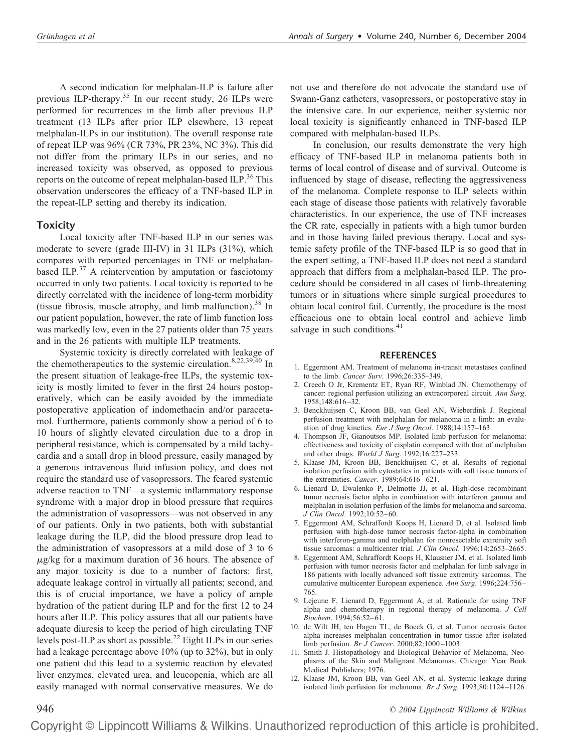A second indication for melphalan-ILP is failure after previous ILP-therapy.35 In our recent study, 26 ILPs were performed for recurrences in the limb after previous ILP treatment (13 ILPs after prior ILP elsewhere, 13 repeat melphalan-ILPs in our institution). The overall response rate of repeat ILP was 96% (CR 73%, PR 23%, NC 3%). This did not differ from the primary ILPs in our series, and no increased toxicity was observed, as opposed to previous reports on the outcome of repeat melphalan-based ILP.<sup>36</sup> This observation underscores the efficacy of a TNF-based ILP in the repeat-ILP setting and thereby its indication.

#### **Toxicity**

Local toxicity after TNF-based ILP in our series was moderate to severe (grade III-IV) in 31 ILPs (31%), which compares with reported percentages in TNF or melphalanbased ILP. $37$  A reintervention by amputation or fasciotomy occurred in only two patients. Local toxicity is reported to be directly correlated with the incidence of long-term morbidity (tissue fibrosis, muscle atrophy, and limb malfunction). $38$  In our patient population, however, the rate of limb function loss was markedly low, even in the 27 patients older than 75 years and in the 26 patients with multiple ILP treatments.

Systemic toxicity is directly correlated with leakage of the chemotherapeutics to the systemic circulation.<sup>8,22,39,40</sup> In the present situation of leakage-free ILPs, the systemic toxicity is mostly limited to fever in the first 24 hours postoperatively, which can be easily avoided by the immediate postoperative application of indomethacin and/or paracetamol. Furthermore, patients commonly show a period of 6 to 10 hours of slightly elevated circulation due to a drop in peripheral resistance, which is compensated by a mild tachycardia and a small drop in blood pressure, easily managed by a generous intravenous fluid infusion policy, and does not require the standard use of vasopressors. The feared systemic adverse reaction to TNF—a systemic inflammatory response syndrome with a major drop in blood pressure that requires the administration of vasopressors—was not observed in any of our patients. Only in two patients, both with substantial leakage during the ILP, did the blood pressure drop lead to the administration of vasopressors at a mild dose of 3 to 6  $\mu$ g/kg for a maximum duration of 36 hours. The absence of any major toxicity is due to a number of factors: first, adequate leakage control in virtually all patients; second, and this is of crucial importance, we have a policy of ample hydration of the patient during ILP and for the first 12 to 24 hours after ILP. This policy assures that all our patients have adequate diuresis to keep the period of high circulating TNF levels post-ILP as short as possible.22 Eight ILPs in our series had a leakage percentage above 10% (up to 32%), but in only one patient did this lead to a systemic reaction by elevated liver enzymes, elevated urea, and leucopenia, which are all easily managed with normal conservative measures. We do

not use and therefore do not advocate the standard use of Swann-Ganz catheters, vasopressors, or postoperative stay in the intensive care. In our experience, neither systemic nor local toxicity is significantly enhanced in TNF-based ILP compared with melphalan-based ILPs.

In conclusion, our results demonstrate the very high efficacy of TNF-based ILP in melanoma patients both in terms of local control of disease and of survival. Outcome is influenced by stage of disease, reflecting the aggressiveness of the melanoma. Complete response to ILP selects within each stage of disease those patients with relatively favorable characteristics. In our experience, the use of TNF increases the CR rate, especially in patients with a high tumor burden and in those having failed previous therapy. Local and systemic safety profile of the TNF-based ILP is so good that in the expert setting, a TNF-based ILP does not need a standard approach that differs from a melphalan-based ILP. The procedure should be considered in all cases of limb-threatening tumors or in situations where simple surgical procedures to obtain local control fail. Currently, the procedure is the most efficacious one to obtain local control and achieve limb salvage in such conditions.<sup>41</sup>

#### **REFERENCES**

- 1. Eggermont AM. Treatment of melanoma in-transit metastases confined to the limb. *Cancer Surv*. 1996;26:335–349.
- 2. Creech O Jr, Krementz ET, Ryan RF, Winblad JN. Chemotherapy of cancer: regional perfusion utilizing an extracorporeal circuit. *Ann Surg*. 1958;148:616 –32.
- 3. Benckhuijsen C, Kroon BB, van Geel AN, Wieberdink J. Regional perfusion treatment with melphalan for melanoma in a limb: an evaluation of drug kinetics. *Eur J Surg Oncol*. 1988;14:157–163.
- 4. Thompson JF, Gianoutsos MP. Isolated limb perfusion for melanoma: effectiveness and toxicity of cisplatin compared with that of melphalan and other drugs. *World J Surg*. 1992;16:227–233.
- 5. Klaase JM, Kroon BB, Benckhuijsen C, et al. Results of regional isolation perfusion with cytostatics in patients with soft tissue tumors of the extremities. *Cancer*. 1989;64:616 – 621.
- 6. Lienard D, Ewalenko P, Delmotte JJ, et al. High-dose recombinant tumor necrosis factor alpha in combination with interferon gamma and melphalan in isolation perfusion of the limbs for melanoma and sarcoma. *J Clin Oncol*. 1992;10:52– 60.
- 7. Eggermont AM, Schraffordt Koops H, Lienard D, et al. Isolated limb perfusion with high-dose tumor necrosis factor-alpha in combination with interferon-gamma and melphalan for nonresectable extremity soft tissue sarcomas: a multicenter trial. *J Clin Oncol*. 1996;14:2653–2665.
- 8. Eggermont AM, Schraffordt Koops H, Klausner JM, et al. Isolated limb perfusion with tumor necrosis factor and melphalan for limb salvage in 186 patients with locally advanced soft tissue extremity sarcomas. The cumulative multicenter European experience. *Ann Surg*. 1996;224:756 – 765.
- 9. Lejeune F, Lienard D, Eggermont A, et al. Rationale for using TNF alpha and chemotherapy in regional therapy of melanoma. *J Cell Biochem*. 1994;56:52– 61.
- 10. de Wilt JH, ten Hagen TL, de Boeck G, et al. Tumor necrosis factor alpha increases melphalan concentration in tumor tissue after isolated limb perfusion. *Br J Cancer*. 2000;82:1000 –1003.
- 11. Smith J. Histopathology and Biological Behavior of Melanoma, Neoplasms of the Skin and Malignant Melanomas. Chicago: Year Book Medical Publishers; 1976.
- 12. Klaase JM, Kroon BB, van Geel AN, et al. Systemic leakage during isolated limb perfusion for melanoma. *Br J Surg*. 1993;80:1124 –1126.

## 946 *© 2004 Lippincott Williams & Wilkins*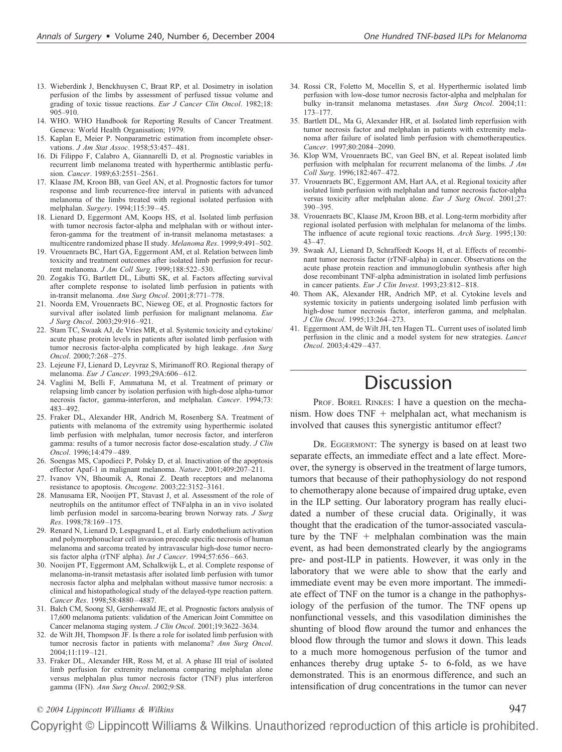- 13. Wieberdink J, Benckhuysen C, Braat RP, et al. Dosimetry in isolation perfusion of the limbs by assessment of perfused tissue volume and grading of toxic tissue reactions. *Eur J Cancer Clin Oncol*. 1982;18: 905–910.
- 14. WHO. WHO Handbook for Reporting Results of Cancer Treatment. Geneva: World Health Organisation; 1979.
- 15. Kaplan E, Meier P. Nonparametric estimation from incomplete observations. *J Am Stat Assoc*. 1958;53:457– 481.
- 16. Di Filippo F, Calabro A, Giannarelli D, et al. Prognostic variables in recurrent limb melanoma treated with hyperthermic antiblastic perfusion. *Cancer*. 1989;63:2551–2561.
- 17. Klaase JM, Kroon BB, van Geel AN, et al. Prognostic factors for tumor response and limb recurrence-free interval in patients with advanced melanoma of the limbs treated with regional isolated perfusion with melphalan. *Surgery*. 1994;115:39 – 45.
- 18. Lienard D, Eggermont AM, Koops HS, et al. Isolated limb perfusion with tumor necrosis factor-alpha and melphalan with or without interferon-gamma for the treatment of in-transit melanoma metastases: a multicentre randomized phase II study. *Melanoma Res*. 1999;9:491–502.
- 19. Vrouenraets BC, Hart GA, Eggermont AM, et al. Relation between limb toxicity and treatment outcomes after isolated limb perfusion for recurrent melanoma. *J Am Coll Surg*. 1999;188:522–530.
- 20. Zogakis TG, Bartlett DL, Libutti SK, et al. Factors affecting survival after complete response to isolated limb perfusion in patients with in-transit melanoma. *Ann Surg Oncol*. 2001;8:771–778.
- 21. Noorda EM, Vrouenraets BC, Nieweg OE, et al. Prognostic factors for survival after isolated limb perfusion for malignant melanoma. *Eur J Surg Oncol*. 2003;29:916 –921.
- 22. Stam TC, Swaak AJ, de Vries MR, et al. Systemic toxicity and cytokine/ acute phase protein levels in patients after isolated limb perfusion with tumor necrosis factor-alpha complicated by high leakage. *Ann Surg Oncol*. 2000;7:268 –275.
- 23. Lejeune FJ, Lienard D, Leyvraz S, Mirimanoff RO. Regional therapy of melanoma. *Eur J Cancer*. 1993;29A:606 – 612.
- 24. Vaglini M, Belli F, Ammatuna M, et al. Treatment of primary or relapsing limb cancer by isolation perfusion with high-dose alpha-tumor necrosis factor, gamma-interferon, and melphalan. *Cancer*. 1994;73: 483– 492.
- 25. Fraker DL, Alexander HR, Andrich M, Rosenberg SA. Treatment of patients with melanoma of the extremity using hyperthermic isolated limb perfusion with melphalan, tumor necrosis factor, and interferon gamma: results of a tumor necrosis factor dose-escalation study. *J Clin Oncol*. 1996;14:479 – 489.
- 26. Soengas MS, Capodieci P, Polsky D, et al. Inactivation of the apoptosis effector Apaf-1 in malignant melanoma. *Nature*. 2001;409:207–211.
- 27. Ivanov VN, Bhoumik A, Ronai Z. Death receptors and melanoma resistance to apoptosis. *Oncogene*. 2003;22:3152–3161.
- 28. Manusama ER, Nooijen PT, Stavast J, et al. Assessment of the role of neutrophils on the antitumor effect of TNFalpha in an in vivo isolated limb perfusion model in sarcoma-bearing brown Norway rats. *J Surg Res*. 1998;78:169 –175.
- 29. Renard N, Lienard D, Lespagnard L, et al. Early endothelium activation and polymorphonuclear cell invasion precede specific necrosis of human melanoma and sarcoma treated by intravascular high-dose tumor necrosis factor alpha (rTNF alpha). *Int J Cancer*. 1994;57:656 – 663.
- 30. Nooijen PT, Eggermont AM, Schalkwijk L, et al. Complete response of melanoma-in-transit metastasis after isolated limb perfusion with tumor necrosis factor alpha and melphalan without massive tumor necrosis: a clinical and histopathological study of the delayed-type reaction pattern. *Cancer Res*. 1998;58:4880 – 4887.
- 31. Balch CM, Soong SJ, Gershenwald JE, et al. Prognostic factors analysis of 17,600 melanoma patients: validation of the American Joint Committee on Cancer melanoma staging system. *J Clin Oncol*. 2001;19:3622–3634.
- 32. de Wilt JH, Thompson JF. Is there a role for isolated limb perfusion with tumor necrosis factor in patients with melanoma? *Ann Surg Oncol*. 2004;11:119 –121.
- 33. Fraker DL, Alexander HR, Ross M, et al. A phase III trial of isolated limb perfusion for extremity melanoma comparing melphalan alone versus melphalan plus tumor necrosis factor (TNF) plus interferon gamma (IFN). *Ann Surg Oncol*. 2002;9:S8.
- 34. Rossi CR, Foletto M, Mocellin S, et al. Hyperthermic isolated limb perfusion with low-dose tumor necrosis factor-alpha and melphalan for bulky in-transit melanoma metastases. *Ann Surg Oncol*. 2004;11: 173–177.
- 35. Bartlett DL, Ma G, Alexander HR, et al. Isolated limb reperfusion with tumor necrosis factor and melphalan in patients with extremity melanoma after failure of isolated limb perfusion with chemotherapeutics. *Cancer*. 1997;80:2084 –2090.
- 36. Klop WM, Vrouenraets BC, van Geel BN, et al. Repeat isolated limb perfusion with melphalan for recurrent melanoma of the limbs. *J Am Coll Surg*. 1996;182:467– 472.
- 37. Vrouenraets BC, Eggermont AM, Hart AA, et al. Regional toxicity after isolated limb perfusion with melphalan and tumor necrosis factor-alpha versus toxicity after melphalan alone. *Eur J Surg Oncol*. 2001;27: 390 –395.
- 38. Vrouenraets BC, Klaase JM, Kroon BB, et al. Long-term morbidity after regional isolated perfusion with melphalan for melanoma of the limbs. The influence of acute regional toxic reactions. *Arch Surg*. 1995;130:  $43 - 47$
- 39. Swaak AJ, Lienard D, Schraffordt Koops H, et al. Effects of recombinant tumor necrosis factor (rTNF-alpha) in cancer. Observations on the acute phase protein reaction and immunoglobulin synthesis after high dose recombinant TNF-alpha administration in isolated limb perfusions in cancer patients. *Eur J Clin Invest*. 1993;23:812– 818.
- 40. Thom AK, Alexander HR, Andrich MP, et al. Cytokine levels and systemic toxicity in patients undergoing isolated limb perfusion with high-dose tumor necrosis factor, interferon gamma, and melphalan. *J Clin Oncol*. 1995;13:264 –273.
- 41. Eggermont AM, de Wilt JH, ten Hagen TL. Current uses of isolated limb perfusion in the clinic and a model system for new strategies. *Lancet Oncol*. 2003;4:429 – 437.

# **Discussion**

PROF. BOREL RINKES: I have a question on the mechanism. How does  $TNF +$  melphalan act, what mechanism is involved that causes this synergistic antitumor effect?

DR. EGGERMONT: The synergy is based on at least two separate effects, an immediate effect and a late effect. Moreover, the synergy is observed in the treatment of large tumors, tumors that because of their pathophysiology do not respond to chemotherapy alone because of impaired drug uptake, even in the ILP setting. Our laboratory program has really elucidated a number of these crucial data. Originally, it was thought that the eradication of the tumor-associated vasculature by the  $TNF +$  melphalan combination was the main event, as had been demonstrated clearly by the angiograms pre- and post-ILP in patients. However, it was only in the laboratory that we were able to show that the early and immediate event may be even more important. The immediate effect of TNF on the tumor is a change in the pathophysiology of the perfusion of the tumor. The TNF opens up nonfunctional vessels, and this vasodilation diminishes the shunting of blood flow around the tumor and enhances the blood flow through the tumor and slows it down. This leads to a much more homogenous perfusion of the tumor and enhances thereby drug uptake 5- to 6-fold, as we have demonstrated. This is an enormous difference, and such an intensification of drug concentrations in the tumor can never

*© 2004 Lippincott Williams & Wilkins* 947